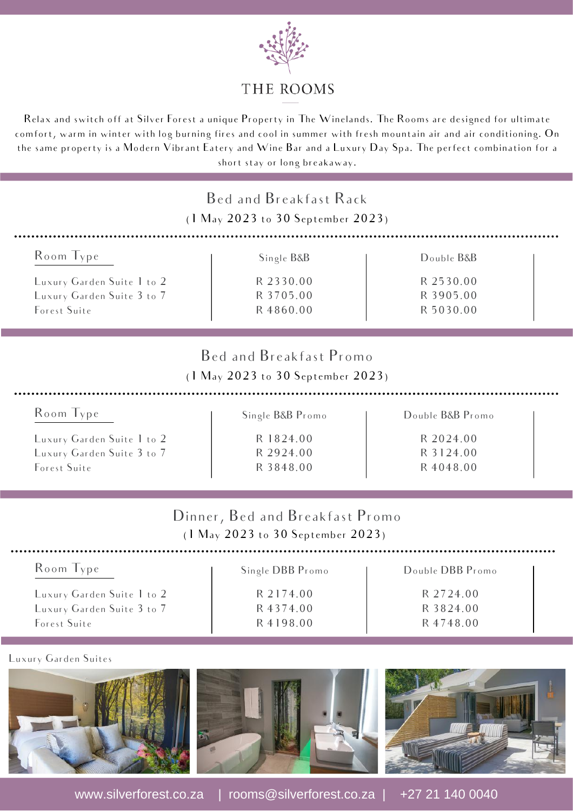

## THE ROOMS

Relax and switch off at Silver Forest a unique Property in The Winelands. The Rooms are designed for ultimate comfort, warm in winter with log burning fires and cool in summer with fresh mountain air and air conditioning. On the same property is a Modern Vibrant Eatery and Wine Bar and a Luxury Day Spa. The perfect combination for a short stay or long breakaway.

| Bed and Breakfast Rack<br>(1 May 2023 to 30 September 2023)                               |                                                                      |                                                         |  |
|-------------------------------------------------------------------------------------------|----------------------------------------------------------------------|---------------------------------------------------------|--|
| Room Type                                                                                 | Single B&B                                                           | Double B&B                                              |  |
| Luxury Garden Suite 1 to 2<br>Luxury Garden Suite 3 to 7<br>Forest Suite                  | R 2330.00<br>R 3705.00<br>R 4860.00                                  | R 2530.00<br>R 3905.00<br>R 5030.00                     |  |
| Bed and Breakfast Promo<br>$(1 \text{ May } 2023 \text{ to } 30 \text{ September } 2023)$ |                                                                      |                                                         |  |
| Room Type<br>Luxury Garden Suite 1 to 2<br>Luxury Garden Suite 3 to 7<br>Forest Suite     | Single B&B Promo<br>R 1824.00<br>R 2924.00<br>R 3848.00              | Double B&B Promo<br>R 2024.00<br>R 3124.00<br>R 4048.00 |  |
|                                                                                           | Dinner, Bed and Breakfast Promo<br>(1 May 2023 to 30 September 2023) |                                                         |  |
| Room Type                                                                                 | Single DBB Promo                                                     | Double DBB Promo                                        |  |

|                            | <b>PHISIC DDD LIGHTO</b> | <b>DUUDIL DDD LIUIIU</b> |
|----------------------------|--------------------------|--------------------------|
| Luxury Garden Suite 1 to 2 | R 2174.00                | R 2724.00                |
| Luxury Garden Suite 3 to 7 | R 4374.00                | R 3824.00                |
| Forest Suite               | R 4198.00                | R 4748.00                |
|                            |                          |                          |

Luxury Garden Suites



www.silverforest.co.za | rooms@silverforest.co.za | +27 21 140 0040